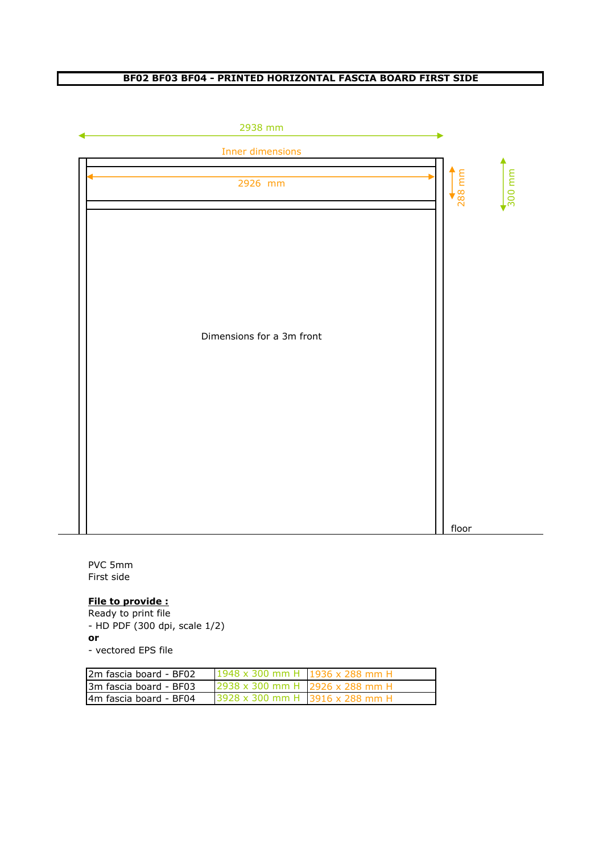### **BF02 BF03 BF04 - PRINTED HORIZONTAL FASCIA BOARD FIRST SIDE**



PVC 5mm First side

# **File to provide :**

Ready to print file - HD PDF (300 dpi, scale 1/2) **or**

- vectored EPS file

| I2m fascia board - BF02 | 1948 x 300 mm H 1936 x 288 mm H |  |
|-------------------------|---------------------------------|--|
| l3m fascia board - BF03 | 2938 x 300 mm H 2926 x 288 mm H |  |
| l4m fascia board - BF04 | 3928 x 300 mm H 3916 x 288 mm H |  |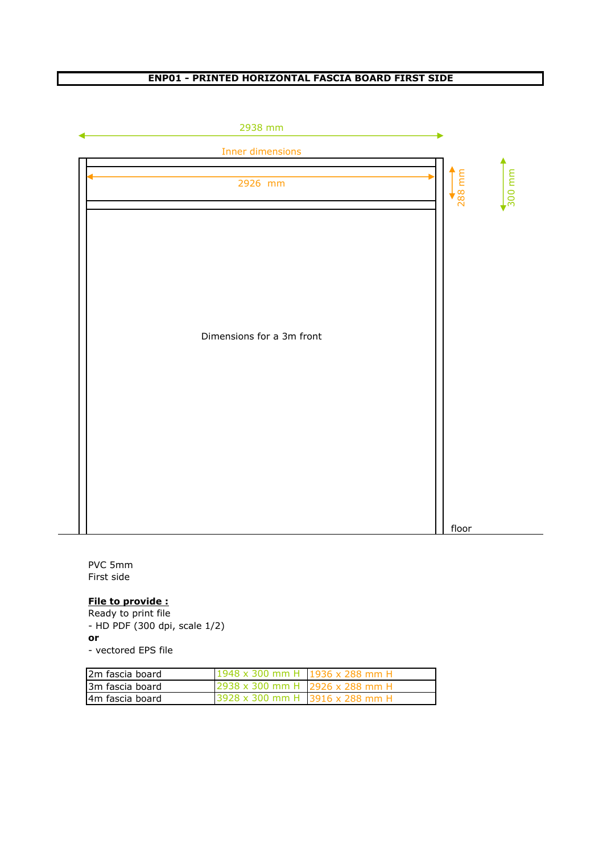### **ENP01 - PRINTED HORIZONTAL FASCIA BOARD FIRST SIDE**



PVC 5mm First side

#### **File to provide :**

Ready to print file - HD PDF (300 dpi, scale 1/2) **or**

- vectored EPS file

| 12m fascia board | 1948 x 300 mm H 1936 x 288 mm H        |  |
|------------------|----------------------------------------|--|
| 13m fascia board | $2938 \times 300$ mm H 2926 x 288 mm H |  |
| I4m fascia board | 3928 x 300 mm H 3916 x 288 mm H        |  |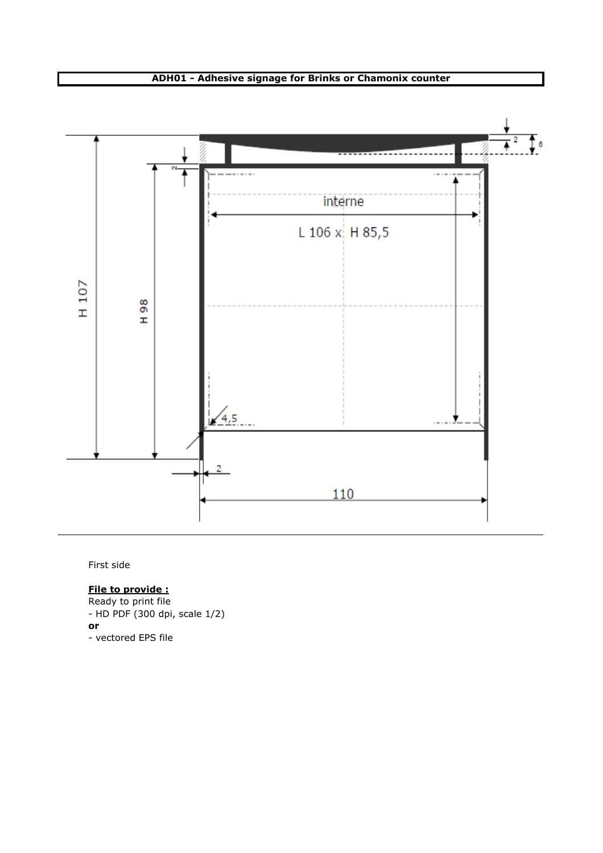#### **ADH01 - Adhesive signage for Brinks or Chamonix counter**



First side

# **File to provide :**

Ready to print file - HD PDF (300 dpi, scale 1/2) **or** - vectored EPS file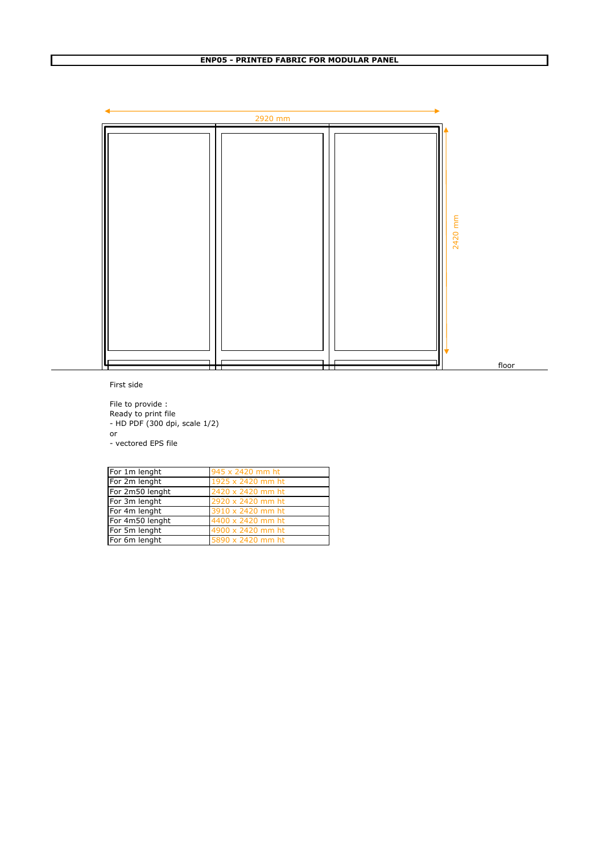

First side

File to provide : Ready to print file - HD PDF (300 dpi, scale 1/2) or - vectored EPS file

| For 1m lenght   | 945 x 2420 mm ht  |
|-----------------|-------------------|
| For 2m lenght   | 1925 x 2420 mm ht |
| For 2m50 lenght | 2420 x 2420 mm ht |
| For 3m lenght   | 2920 x 2420 mm ht |
| For 4m lenght   | 3910 x 2420 mm ht |
| For 4m50 lenght | 4400 x 2420 mm ht |
| For 5m lenght   | 4900 x 2420 mm ht |
| For 6m lenght   | 5890 x 2420 mm ht |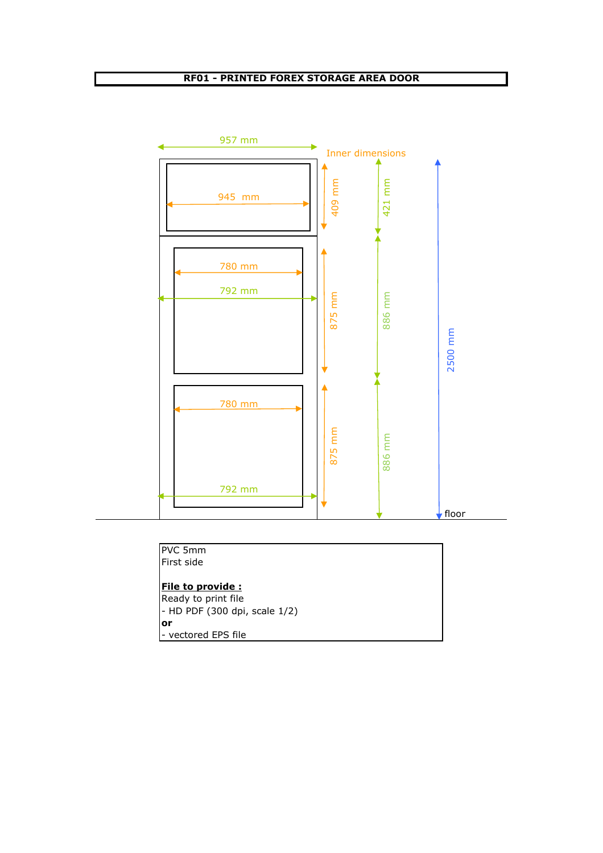## **RF01 - PRINTED FOREX STORAGE AREA DOOR**



| <b>PVC 5mm</b>                |  |  |
|-------------------------------|--|--|
| First side                    |  |  |
|                               |  |  |
| File to provide:              |  |  |
| Ready to print file           |  |  |
| - HD PDF (300 dpi, scale 1/2) |  |  |
| or                            |  |  |
| - vectored EPS file           |  |  |
|                               |  |  |